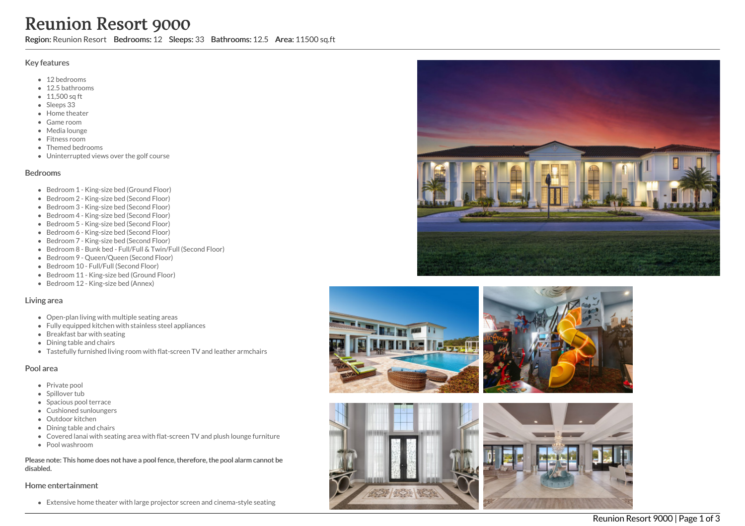# Reunion Resort 9000

Region: Reunion Resort Bedrooms: 12 Sleeps: 33 Bathrooms: 12.5 Area: 11500 sq.ft

### Key features

- 12 bedrooms
- 12.5 bathrooms
- 11,500 sq ft
- Sleeps 33
- Home theater
- G a m e r o o m
- M e dia lo u n g e
- Fitness room
- Themed bedrooms
- Uninterrupted views over the golf course

#### **Bedrooms**

- Bedroom 1 King-size bed (Ground Floor)
- Bedroom 2 King-size bed (Second Floor)
- Bedroom 3 King-size bed (Second Floor)
- Bedroom 4 King-size bed (Second Floor)
- Bedroom 5 King-size bed (Second Floor)
- Bedroom 6 King-size bed (Second Floor)
- Bedroom 7 King-size bed (Second Floor)
- Bedroom 8 Bunk bed Full/Full & Twin/Full (Second Floor)
- Bedroom 9 Queen/Queen (Second Floor)
- Bedroom 10 Full/Full (Second Floor)
- Bedroom 11 King-size bed (Ground Floor)
- Bedroom 12 King-size bed (Annex)

#### Living area

- Open-plan living with multiple seating areas
- Fully equipped kitchen with stainless steel appliances
- Breakfast bar with seating
- Dining table and chairs
- Tastefully furnished living room with flat-screen TV and leather armchairs

#### Pool area

- Private pool
- Spillover tub
- Spacious pool terrace
- Cushioned sunloungers
- Outdoor kitchen
- Dining table and chairs
- Covered lanai with seating area with flat-screen TV and plush lounge furniture
- Pool washroom

Please note: This home does not have a pool fence, therefore, the pool alarm cannot be dis a ble d.

#### Home entertainment

Extensive home theater with large projector screen and cinema-style seating









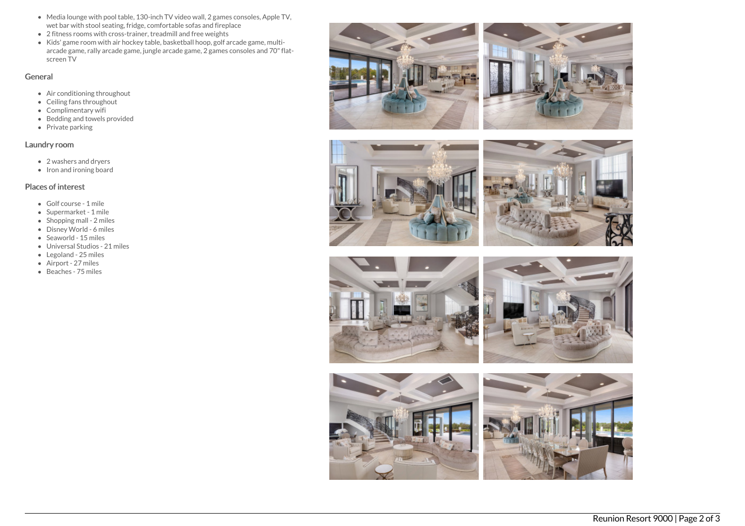- Media lounge with pool table, 130-inch TV video wall, 2 games consoles, Apple TV, wet bar with stool seating, fridge, comfortable sofas and fireplace
- 2 fitness rooms with cross-trainer, treadmill and free weights
- $\bullet$  Kids' game room with air hockey table, basketball hoop, golf arcade game, multiarcade game, rally arcade game, jungle arcade game, 2 games consoles and 70"flatscreen TV

## General

- Air conditioning throughout
- Ceiling fans throughout
- Complimentary wifi
- Bedding and towels provided
- $\bullet$  Private parking

# Laundry room

- 2 washers and dryers
- Iron and ironing board

## Places of interest

- Golf course 1 mile
- Supermarket 1 mile
- Shopping mall 2 miles
- Disney World 6 miles
- Seaworld 15 miles
- Universal Studios 21 miles
- Legoland 25 miles
- Airport 27 miles
- Beaches 75 miles